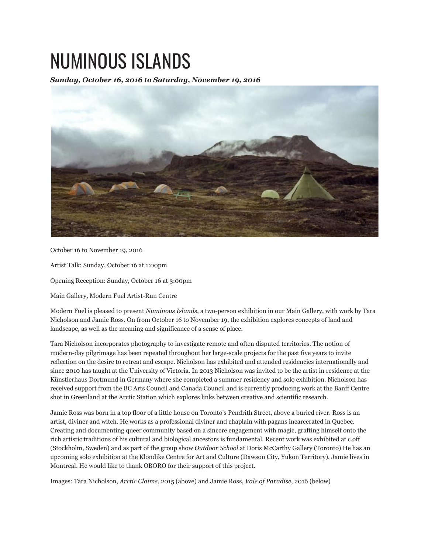## NUMINOUS ISLANDS

*Sunday, October 16, 2016 to Saturday, November 19, 2016*



October 16 to November 19, 2016

Artist Talk: Sunday, October 16 at 1:00pm

Opening Reception: Sunday, October 16 at 3:00pm

Main Gallery, Modern Fuel Artist-Run Centre

Modern Fuel is pleased to present *Numinous Islands*, a two-person exhibition in our Main Gallery, with work by Tara Nicholson and Jamie Ross. On from October 16 to November 19, the exhibition explores concepts of land and landscape, as well as the meaning and significance of a sense of place.

Tara Nicholson incorporates photography to investigate remote and often disputed territories. The notion of modern-day pilgrimage has been repeated throughout her large-scale projects for the past five years to invite reflection on the desire to retreat and escape. Nicholson has exhibited and attended residencies internationally and since 2010 has taught at the University of Victoria. In 2013 Nicholson was invited to be the artist in residence at the Künstlerhaus Dortmund in Germany where she completed a summer residency and solo exhibition. Nicholson has received support from the BC Arts Council and Canada Council and is currently producing work at the Banff Centre shot in Greenland at the Arctic Station which explores links between creative and scientific research.

Jamie Ross was born in a top floor of a little house on Toronto's Pendrith Street, above a buried river. Ross is an artist, diviner and witch. He works as a professional diviner and chaplain with pagans incarcerated in Quebec. Creating and documenting queer community based on a sincere engagement with magic, grafting himself onto the rich artistic traditions of his cultural and biological ancestors is fundamental. Recent work was exhibited at c.off (Stockholm, Sweden) and as part of the group show *Outdoor School* at Doris McCarthy Gallery (Toronto) He has an upcoming solo exhibition at the Klondike Centre for Art and Culture (Dawson City, Yukon Territory). Jamie lives in Montreal. He would like to thank OBORO for their support of this project.

Images: Tara Nicholson, *Arctic Claims*, 2015 (above) and Jamie Ross, *Vale of Paradise*, 2016 (below)